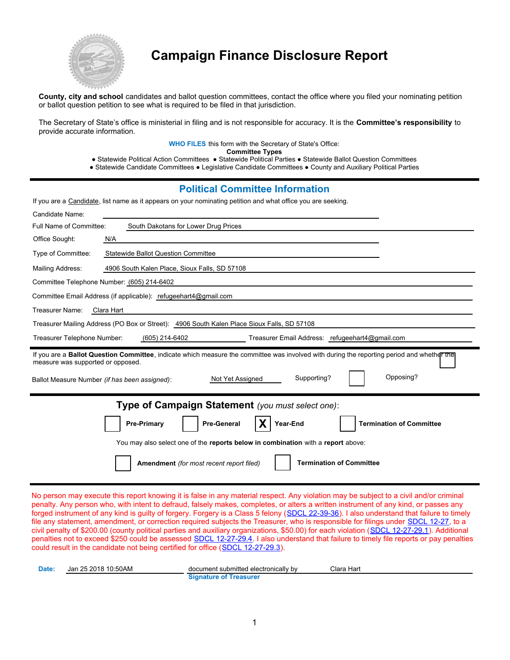

# **Campaign Finance Disclosure Report**

**County, city and school** candidates and ballot question committees, contact the office where you filed your nominating petition or ballot question petition to see what is required to be filed in that jurisdiction.

The Secretary of State's office is ministerial in filing and is not responsible for accuracy. It is the **Committee's responsibility** to provide accurate information.

**WHO FILES** this form with the Secretary of State's Office:

**Committee Types**

● Statewide Political Action Committees ● Statewide Political Parties ● Statewide Ballot Question Committees

● Statewide Candidate Committees ● Legislative Candidate Committees ● County and Auxiliary Political Parties

#### **Political Committee Information**

If you are a Candidate, list name as it appears on your nominating petition and what office you are seeking.

| Candidate Name:                                                                                                                                                                 |
|---------------------------------------------------------------------------------------------------------------------------------------------------------------------------------|
| Full Name of Committee:<br>South Dakotans for Lower Drug Prices                                                                                                                 |
| Office Sought:<br>N/A                                                                                                                                                           |
| Type of Committee:<br><b>Statewide Ballot Question Committee</b>                                                                                                                |
| Mailing Address:<br>4906 South Kalen Place, Sioux Falls, SD 57108                                                                                                               |
| Committee Telephone Number: (605) 214-6402                                                                                                                                      |
| Committee Email Address (if applicable): refugeehart4@gmail.com                                                                                                                 |
| Treasurer Name:<br>Clara Hart                                                                                                                                                   |
| Treasurer Mailing Address (PO Box or Street): 4906 South Kalen Place Sioux Falls, SD 57108                                                                                      |
| Treasurer Telephone Number:<br>(605) 214-6402<br>Treasurer Email Address: refugeehart4@gmail.com                                                                                |
|                                                                                                                                                                                 |
| If you are a Ballot Question Committee, indicate which measure the committee was involved with during the reporting period and whether the<br>measure was supported or opposed. |
| Opposing?<br>Supporting?<br>Not Yet Assigned<br>Ballot Measure Number (if has been assigned):                                                                                   |
| Type of Campaign Statement (you must select one):                                                                                                                               |
| Year-End<br><b>Pre-Primary</b><br><b>Pre-General</b><br><b>Termination of Committee</b>                                                                                         |
| You may also select one of the reports below in combination with a report above:                                                                                                |

No person may execute this report knowing it is false in any material respect. Any violation may be subject to a civil and/or criminal penalty. Any person who, with intent to defraud, falsely makes, completes, or alters a written instrument of any kind, or passes any forged instrument of any kind is guilty of forgery. Forgery is a Class 5 felony (SDCL 22-39-36). I also understand that failure to timely file any statement, amendment, or correction required subjects the Treasurer, who is responsible for filings under SDCL 12-27, to a civil penalty of \$200.00 (county political parties and auxiliary organizations, \$50.00) for each violation (SDCL 12-27-29.1). Additional penalties not to exceed \$250 could be assessed SDCL 12-27-29.4. I also understand that failure to timely file reports or pay penalties could result in the candidate not being certified for office (SDCL 12-27-29.3).

| Date: | Jan 25 2018 10:50AM | document submitted electronically by | Clara Hart |
|-------|---------------------|--------------------------------------|------------|
|       |                     | Signature of Treasurer               |            |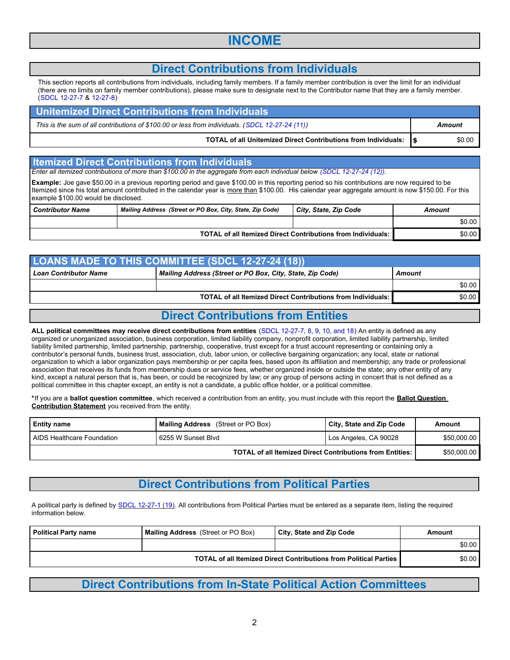## **INCOME**

### **Direct Contributions from Individuals**

This section reports all contributions from individuals, including family members. If a family member contribution is over the limit for an individual (there are no limits on family member contributions), please make sure to designate next to the Contributor name that they are a family member. (SDCL 12-27-7 & 12-27-8)

| Unitemized Direct Contributions from Individuals                                                |        |
|-------------------------------------------------------------------------------------------------|--------|
| This is the sum of all contributions of \$100.00 or less from individuals. (SDCL 12-27-24 (11)) | Amount |
| TOTAL of all Unitemized Direct Contributions from Individuals: 5                                | \$0.00 |

#### **Itemized Direct Contributions from Individuals**

*Enter all itemized contributions of more than \$100.00 in the aggregate from each individual below (SDCL 12-27-24 (12)).*

**Example:** Joe gave \$50.00 in a previous reporting period and gave \$100.00 in this reporting period so his contributions are now required to be Itemized since his total amount contributed in the calendar year is more than \$100.00. His calendar year aggregate amount is now \$150.00. For this example \$100.00 would be disclosed.

| <b>Contributor Name</b> | Mailing Address (Street or PO Box, City, State, Zip Code)           | City, State, Zip Code | Amount |
|-------------------------|---------------------------------------------------------------------|-----------------------|--------|
|                         |                                                                     |                       | \$0.00 |
|                         | <b>TOTAL of all Itemized Direct Contributions from Individuals:</b> |                       |        |

| <b>LOANS MADE TO THIS COMMITTEE (SDCL 12-27-24 (18))</b>                                            |                                                                     |        |  |
|-----------------------------------------------------------------------------------------------------|---------------------------------------------------------------------|--------|--|
| Mailing Address (Street or PO Box, City, State, Zip Code)<br><b>Loan Contributor Name</b><br>Amount |                                                                     |        |  |
|                                                                                                     |                                                                     | \$0.00 |  |
|                                                                                                     | <b>TOTAL of all Itemized Direct Contributions from Individuals:</b> | \$0.00 |  |

#### **Direct Contributions from Entities**

**ALL political committees may receive direct contributions from entities** (SDCL 12-27-7, 8, 9, 10, and 18) An entity is defined as any organized or unorganized association, business corporation, limited liability company, nonprofit corporation, limited liability partnership, limited liability limited partnership, limited partnership, partnership, cooperative, trust except for a trust account representing or containing only a contributor's personal funds, business trust, association, club, labor union, or collective bargaining organization; any local, state or national organization to which a labor organization pays membership or per capita fees, based upon its affiliation and membership; any trade or professional association that receives its funds from membership dues or service fees, whether organized inside or outside the state; any other entity of any kind, except a natural person that is, has been, or could be recognized by law; or any group of persons acting in concert that is not defined as a political committee in this chapter except, an entity is not a candidate, a public office holder, or a political committee.

**\***If you are a **ballot question committee**, which received a contribution from an entity, you must include with this report the **Ballot Question Contribution Statement** you received from the entity.

| <b>Entity name</b>                                               | <b>Mailing Address</b> (Street or PO Box) | <b>City, State and Zip Code</b> | Amount      |
|------------------------------------------------------------------|-------------------------------------------|---------------------------------|-------------|
| AIDS Healthcare Foundation                                       | 6255 W Sunset Blvd                        | Los Angeles, CA 90028           | \$50,000.00 |
| <b>TOTAL of all Itemized Direct Contributions from Entities:</b> |                                           |                                 | \$50,000.00 |

### **Direct Contributions from Political Parties**

A political party is defined by SDCL 12-27-1 (19). All contributions from Political Parties must be entered as a separate item, listing the required information below.

| Political Party name                                              | <b>Mailing Address</b> (Street or PO Box) | City, State and Zip Code | Amount |
|-------------------------------------------------------------------|-------------------------------------------|--------------------------|--------|
|                                                                   |                                           |                          | \$0.00 |
| TOTAL of all Itemized Direct Contributions from Political Parties |                                           | \$0.00                   |        |

### **Direct Contributions from In-State Political Action Committees**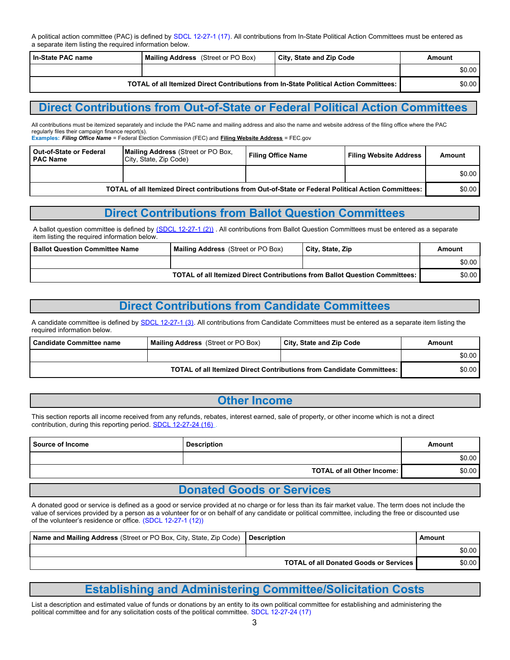A political action committee (PAC) is defined by SDCL 12-27-1 (17). All contributions from In-State Political Action Committees must be entered as a separate item listing the required information below.

| l In-State PAC name | <b>Mailing Address</b> (Street or PO Box)                                               | City, State and Zip Code | Amount |
|---------------------|-----------------------------------------------------------------------------------------|--------------------------|--------|
|                     |                                                                                         |                          | \$0.00 |
|                     | TOTAL of all Itemized Direct Contributions from In-State Political Action Committees: I |                          | \$0.00 |

#### **Direct Contributions from Out-of-State or Federal Political Action Committees**

All contributions must be itemized separately and include the PAC name and mailing address and also the name and website address of the filing office where the PAC regularly files their campaign finance report(s).

**Examples:** *Filing Office Name* = Federal Election Commission (FEC) and **Filing Website Address** = FEC.gov

| l Out-of-State or Federal<br>l PAC Name                                                              | <b>Mailing Address</b> (Street or PO Box,<br>City, State, Zip Code) | <b>Filing Office Name</b> | <b>Filing Website Address</b> | Amount |
|------------------------------------------------------------------------------------------------------|---------------------------------------------------------------------|---------------------------|-------------------------------|--------|
|                                                                                                      |                                                                     |                           |                               | \$0.00 |
| TOTAL of all Itemized Direct contributions from Out-of-State or Federal Political Action Committees: |                                                                     |                           |                               |        |

#### **Direct Contributions from Ballot Question Committees**

A ballot question committee is defined by [\(SDCL 12-27-1 \(2\)\)](http://www.sdlegislature.gov/Statutes/Codified_Laws/DisplayStatute.aspx?Type=Statute&Statute=12-27-1). All contributions from Ballot Question Committees must be entered as a separate item listing the required information below.

| <b>Ballot Question Committee Name</b> | <b>Mailing Address</b> (Street or PO Box)                                          | City, State, Zip | Amount |
|---------------------------------------|------------------------------------------------------------------------------------|------------------|--------|
|                                       |                                                                                    |                  | \$0.00 |
|                                       | <b>TOTAL of all Itemized Direct Contributions from Ballot Question Committees:</b> |                  | \$0.00 |

### **Direct Contributions from Candidate Committees**

A candidate committee is defined by SDCL 12-27-1 (3). All contributions from Candidate Committees must be entered as a separate item listing the required information below.

| ⊦ Candidate Committee name                                            | <b>Mailing Address</b> (Street or PO Box) | City, State and Zip Code | Amount |
|-----------------------------------------------------------------------|-------------------------------------------|--------------------------|--------|
|                                                                       |                                           |                          | \$0.00 |
| TOTAL of all Itemized Direct Contributions from Candidate Committees: |                                           | \$0.00                   |        |

#### **Other Income**

This section reports all income received from any refunds, rebates, interest earned, sale of property, or other income which is not a direct contribution, during this reporting period. SDCL 12-27-24 (16)

| <b>Source of Income</b> | <b>Description</b>                | Amount |
|-------------------------|-----------------------------------|--------|
|                         |                                   | \$0.00 |
|                         | <b>TOTAL of all Other Income:</b> | \$0.00 |

#### **Donated Goods or Services**

A donated good or service is defined as a good or service provided at no charge or for less than its fair market value. The term does not include the value of services provided by a person as a volunteer for or on behalf of any candidate or political committee, including the free or discounted use of the volunteer's residence or office. (SDCL 12-27-1 (12))

| Name and Mailing Address (Street or PO Box, City, State, Zip Code) | <b>Description</b>                            | Amount |
|--------------------------------------------------------------------|-----------------------------------------------|--------|
|                                                                    |                                               | \$0.00 |
|                                                                    | <b>TOTAL of all Donated Goods or Services</b> | \$0.00 |

## **Establishing and Administering Committee/Solicitation Costs**

List a description and estimated value of funds or donations by an entity to its own political committee for establishing and administering the political committee and for any solicitation costs of the political committee. SDCL 12-27-24 (17)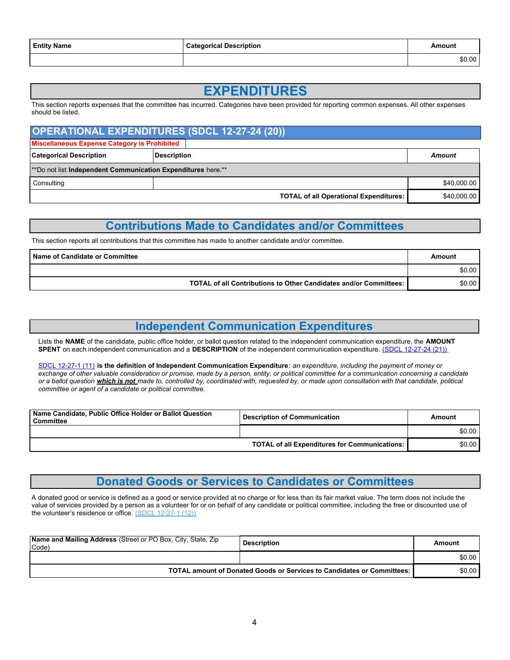| <b>Entity Name</b> | Categorical Description | Amount |
|--------------------|-------------------------|--------|
|                    |                         | \$0.00 |

## **EXPENDITURES**

This section reports expenses that the committee has incurred. Categories have been provided for reporting common expenses. All other expenses should be listed.

| <b>OPERATIONAL EXPENDITURES (SDCL 12-27-24 (20))</b>         |                                               |             |  |
|--------------------------------------------------------------|-----------------------------------------------|-------------|--|
| Miscellaneous Expense Category is Prohibited                 |                                               |             |  |
| <b>Categorical Description</b>                               | <b>Description</b>                            | Amount      |  |
| **Do not list Independent Communication Expenditures here.** |                                               |             |  |
| Consulting                                                   |                                               | \$40,000.00 |  |
|                                                              | <b>TOTAL of all Operational Expenditures:</b> | \$40,000.00 |  |

### **Contributions Made to Candidates and/or Committees**

This section reports all contributions that this committee has made to another candidate and/or committee.

| <b>Name of Candidate or Committee</b>                             | Amount |
|-------------------------------------------------------------------|--------|
|                                                                   | \$0.00 |
| TOTAL of all Contributions to Other Candidates and/or Committees: | \$0.00 |

### **Independent Communication Expenditures**

Lists the **NAME** of the candidate, public office holder, or ballot question related to the independent communication expenditure, the **AMOUNT SPENT** on each independent communication and a **DESCRIPTION** of the independent communication expenditure. (SDCL 12-27-24 (21))

SDCL 12-27-1 (11) **is the definition of Independent Communication Expenditure**: *an expenditure, including the payment of money or exchange of other valuable consideration or promise, made by a person, entity, or political committee for a communication concerning a candidate or a ballot question which is not made to, controlled by, coordinated with, requested by, or made upon consultation with that candidate, political committee or agent of a candidate or political committee.*

| Name Candidate, Public Office Holder or Ballot Question<br>Committee | <b>Description of Communication</b>                  | Amount |
|----------------------------------------------------------------------|------------------------------------------------------|--------|
|                                                                      |                                                      | \$0.00 |
|                                                                      | <b>TOTAL of all Expenditures for Communications:</b> | \$0.00 |

### **Donated Goods or Services to Candidates or Committees**

A donated good or service is defined as a good or service provided at no charge or for less than its fair market value. The term does not include the value of services provided by a person as a volunteer for or on behalf of any candidate or political committee, including the free or discounted use of the volunteer's residence or office. (SDCL 12-27-1 (12))

| <b>Name and Mailing Address</b> (Street or PO Box, City, State, Zip<br>Code) | <b>Description</b> | Amount |
|------------------------------------------------------------------------------|--------------------|--------|
|                                                                              |                    | \$0.00 |
| TOTAL amount of Donated Goods or Services to Candidates or Committees:       |                    | \$0.00 |